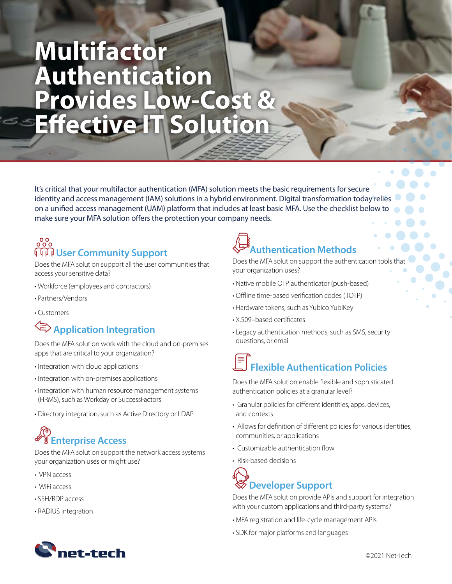# **Multifactor Authentication Provides Low-Cost & Effective IT Solution**

It's critical that your multifactor authentication (MFA) solution meets the basic requirements for secure identity and access management (IAM) solutions in a hybrid environment. Digital transformation today relies on a unified access management (UAM) platform that includes at least basic MFA. Use the checklist below to make sure your MFA solution offers the protection your company needs.

#### $000$  **User Community Support**

Does the MFA solution support all the user communities that access your sensitive data?

- Workforce (employees and contractors)
- Partners/Vendors
- Customers

### **Application Integration**

Does the MFA solution work with the cloud and on-premises apps that are critical to your organization?

- Integration with cloud applications
- Integration with on-premises applications
- Integration with human resource management systems (HRMS), such as Workday or SuccessFactors
- Directory integration, such as Active Directory or LDAP

### **Enterprise Access**

Does the MFA solution support the network access systems your organization uses or might use?

- VPN access
- WiFi access
- SSH/RDP access
- RADIUS integration

## **Authentication Methods**

Does the MFA solution support the authentication tools that your organization uses?

- Native mobile OTP authenticator (push-based)
- Offline time-based verification codes (TOTP)
- Hardware tokens, such as Yubico YubiKey
- X.509–based certificates
- Legacy authentication methods, such as SMS, security questions, or email

## **Flexible Authentication Policies**

Does the MFA solution enable flexible and sophisticated authentication policies at a granular level?

- Granular policies for different identities, apps, devices, and contexts
- Allows for definition of different policies for various identities, communities, or applications
- Customizable authentication flow
- Risk-based decisions

### **Developer Support**

Does the MFA solution provide APIs and support for integration with your custom applications and third-party systems?

- MFA registration and life-cycle management APIs
- SDK for major platforms and languages